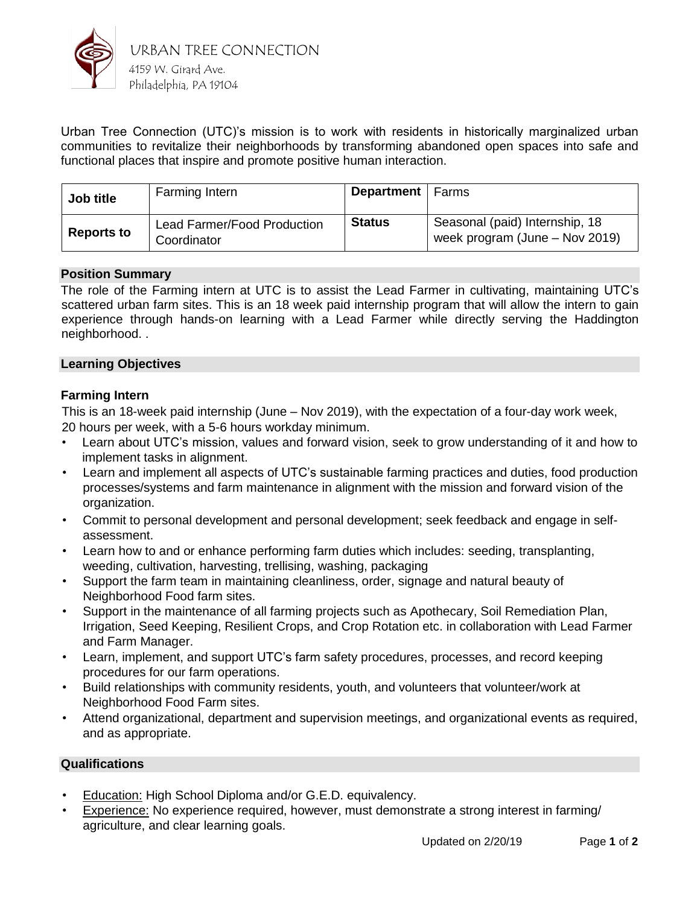

Urban Tree Connection (UTC)'s mission is to work with residents in historically marginalized urban communities to revitalize their neighborhoods by transforming abandoned open spaces into safe and functional places that inspire and promote positive human interaction.

| Job title         | Farming Intern                                    | <b>Department</b>   Farms |                                                                    |
|-------------------|---------------------------------------------------|---------------------------|--------------------------------------------------------------------|
| <b>Reports to</b> | <b>Lead Farmer/Food Production</b><br>Coordinator | <b>Status</b>             | Seasonal (paid) Internship, 18<br>week program (June $-$ Nov 2019) |

# **Position Summary**

The role of the Farming intern at UTC is to assist the Lead Farmer in cultivating, maintaining UTC's scattered urban farm sites. This is an 18 week paid internship program that will allow the intern to gain experience through hands-on learning with a Lead Farmer while directly serving the Haddington neighborhood. .

# **Learning Objectives**

# **Farming Intern**

This is an 18-week paid internship (June – Nov 2019), with the expectation of a four-day work week, 20 hours per week, with a 5-6 hours workday minimum.

- Learn about UTC's mission, values and forward vision, seek to grow understanding of it and how to implement tasks in alignment.
- Learn and implement all aspects of UTC's sustainable farming practices and duties, food production processes/systems and farm maintenance in alignment with the mission and forward vision of the organization.
- Commit to personal development and personal development; seek feedback and engage in selfassessment.
- Learn how to and or enhance performing farm duties which includes: seeding, transplanting, weeding, cultivation, harvesting, trellising, washing, packaging
- Support the farm team in maintaining cleanliness, order, signage and natural beauty of Neighborhood Food farm sites.
- Support in the maintenance of all farming projects such as Apothecary, Soil Remediation Plan, Irrigation, Seed Keeping, Resilient Crops, and Crop Rotation etc. in collaboration with Lead Farmer and Farm Manager.
- Learn, implement, and support UTC's farm safety procedures, processes, and record keeping procedures for our farm operations.
- Build relationships with community residents, youth, and volunteers that volunteer/work at Neighborhood Food Farm sites.
- Attend organizational, department and supervision meetings, and organizational events as required, and as appropriate.

# **Qualifications**

- Education: High School Diploma and/or G.E.D. equivalency.
- Experience: No experience required, however, must demonstrate a strong interest in farming/ agriculture, and clear learning goals.